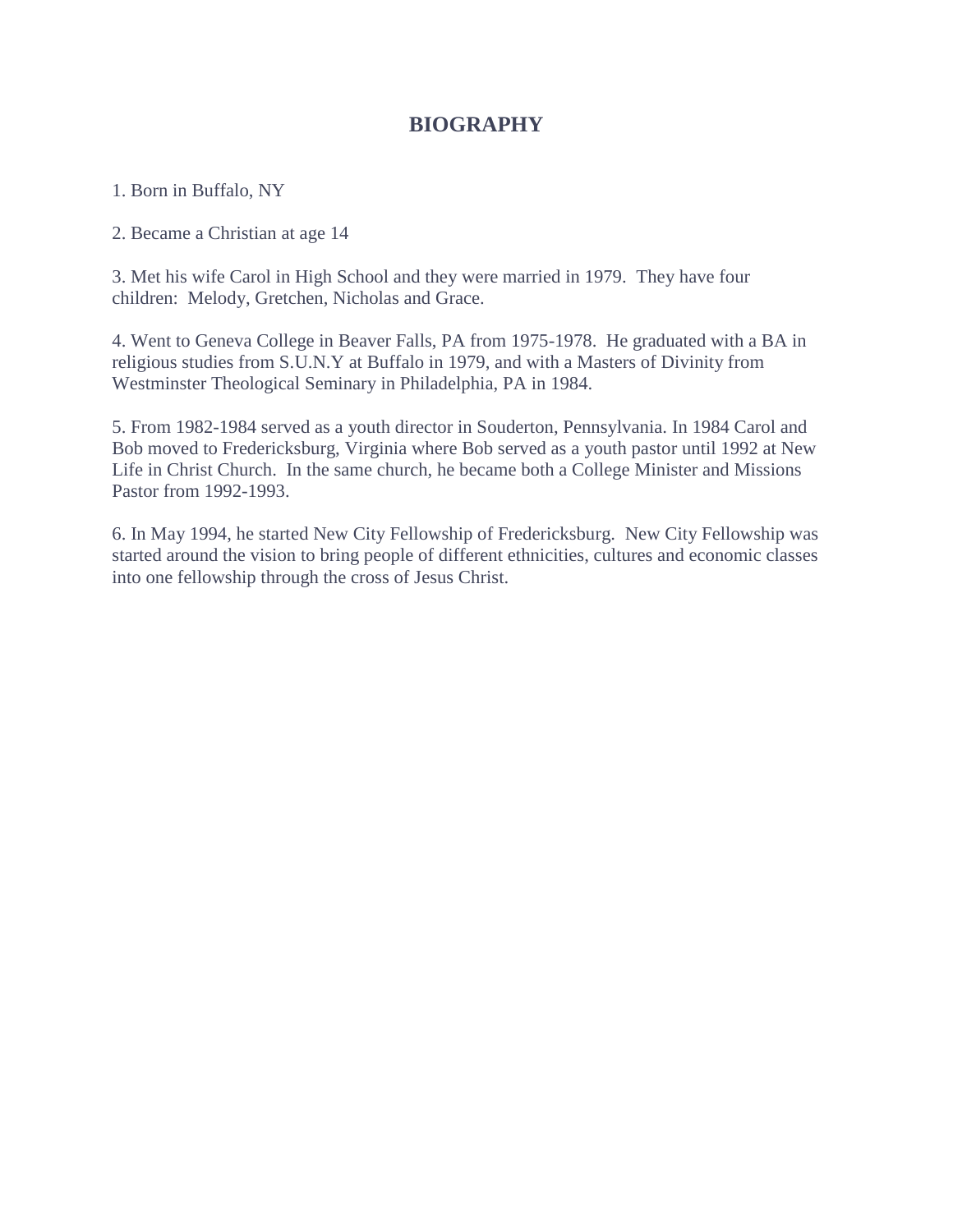## **BIOGRAPHY**

1. Born in Buffalo, NY

2. Became a Christian at age 14

3. Met his wife Carol in High School and they were married in 1979. They have four children: Melody, Gretchen, Nicholas and Grace.

4. Went to Geneva College in Beaver Falls, PA from 1975-1978. He graduated with a BA in religious studies from S.U.N.Y at Buffalo in 1979, and with a Masters of Divinity from Westminster Theological Seminary in Philadelphia, PA in 1984.

5. From 1982-1984 served as a youth director in Souderton, Pennsylvania. In 1984 Carol and Bob moved to Fredericksburg, Virginia where Bob served as a youth pastor until 1992 at New Life in Christ Church. In the same church, he became both a College Minister and Missions Pastor from 1992-1993.

6. In May 1994, he started New City Fellowship of Fredericksburg. New City Fellowship was started around the vision to bring people of different ethnicities, cultures and economic classes into one fellowship through the cross of Jesus Christ.